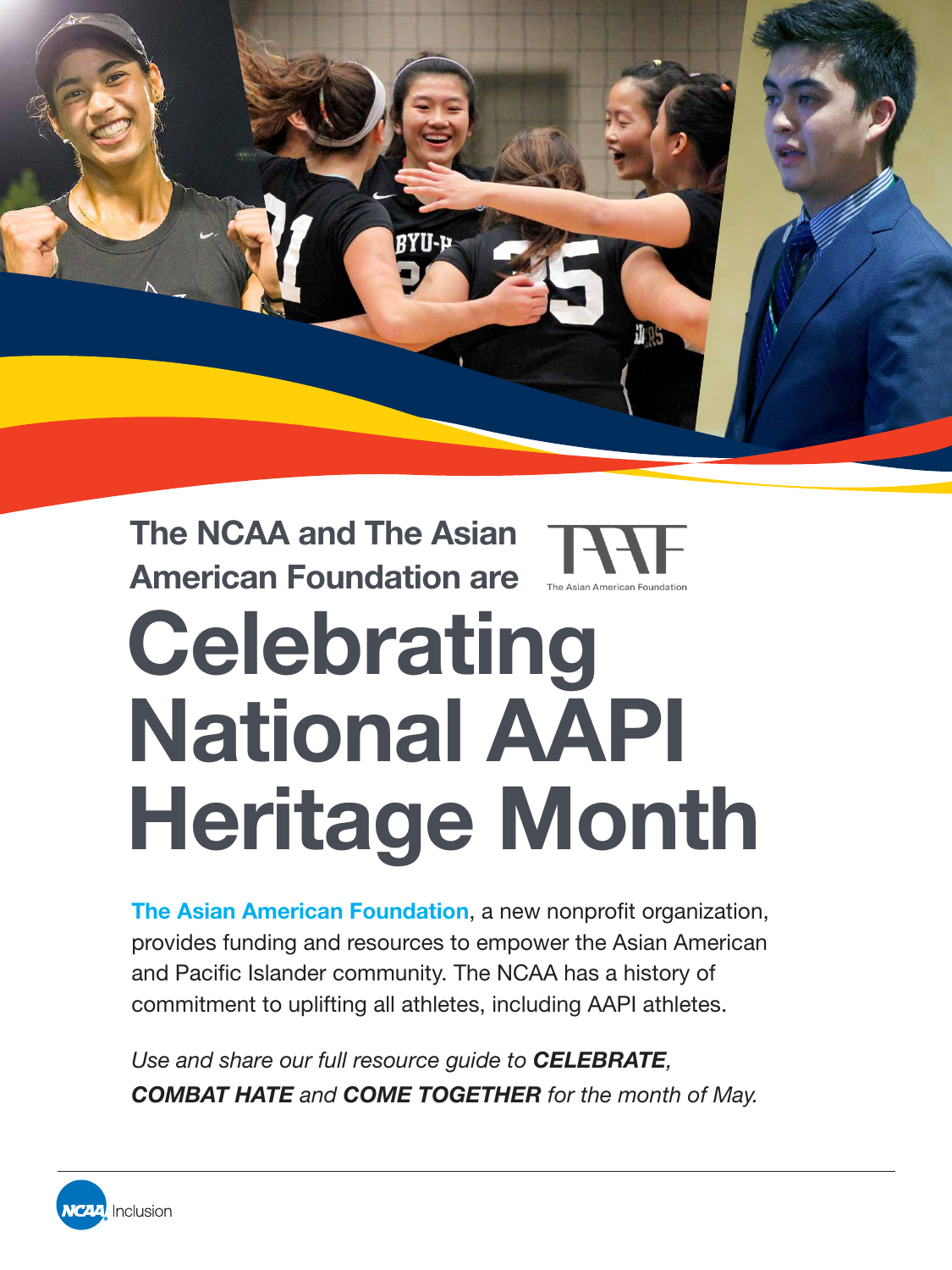

# The NCAA and The Asian American Foundation are

# **Celebrating** National AAPI Heritage Month

[The Asian American Foundation](https://www.taaf.org/), a new nonprofit organization, provides funding and resources to empower the Asian American and Pacific Islander community. The NCAA has a history of commitment to uplifting all athletes, including AAPI athletes.

*Use and share our full resource guide to CELEBRATE, COMBAT HATE and COME TOGETHER for the month of May.*